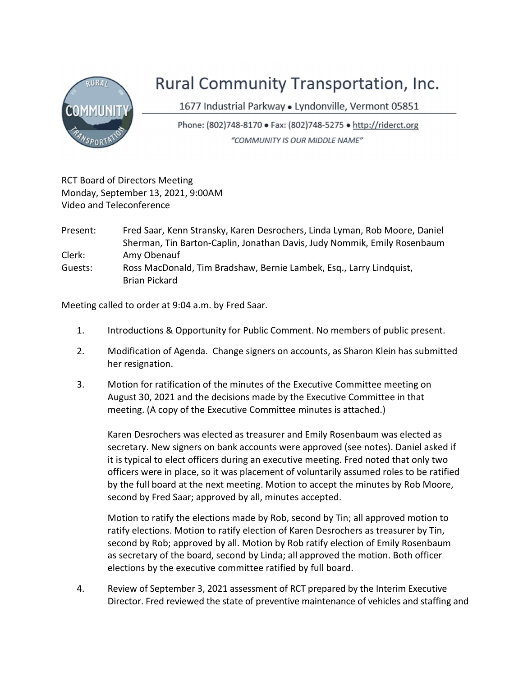

## Rural Community Transportation, Inc.

1677 Industrial Parkway · Lyndonville, Vermont 05851

Phone: (802)748-8170 • Fax: (802)748-5275 • http://riderct.org "COMMUNITY IS OUR MIDDLE NAME"

RCT Board of Directors Meeting Monday, September 13, 2021, 9:00AM Video and Teleconference

- Present: Fred Saar, Kenn Stransky, Karen Desrochers, Linda Lyman, Rob Moore, Daniel Sherman, Tin Barton-Caplin, Jonathan Davis, Judy Nommik, Emily Rosenbaum Clerk: Amy Obenauf Guests: Ross MacDonald, Tim Bradshaw, Bernie Lambek, Esq., Larry Lindquist,
- Brian Pickard

Meeting called to order at 9:04 a.m. by Fred Saar.

- 1. Introductions & Opportunity for Public Comment. No members of public present.
- 2. Modification of Agenda. Change signers on accounts, as Sharon Klein has submitted her resignation.
- 3. Motion for ratification of the minutes of the Executive Committee meeting on August 30, 2021 and the decisions made by the Executive Committee in that meeting. (A copy of the Executive Committee minutes is attached.)

Karen Desrochers was elected as treasurer and Emily Rosenbaum was elected as secretary. New signers on bank accounts were approved (see notes). Daniel asked if it is typical to elect officers during an executive meeting. Fred noted that only two officers were in place, so it was placement of voluntarily assumed roles to be ratified by the full board at the next meeting. Motion to accept the minutes by Rob Moore, second by Fred Saar; approved by all, minutes accepted.

Motion to ratify the elections made by Rob, second by Tin; all approved motion to ratify elections. Motion to ratify election of Karen Desrochers as treasurer by Tin, second by Rob; approved by all. Motion by Rob ratify election of Emily Rosenbaum as secretary of the board, second by Linda; all approved the motion. Both officer elections by the executive committee ratified by full board.

4. Review of September 3, 2021 assessment of RCT prepared by the Interim Executive Director. Fred reviewed the state of preventive maintenance of vehicles and staffing and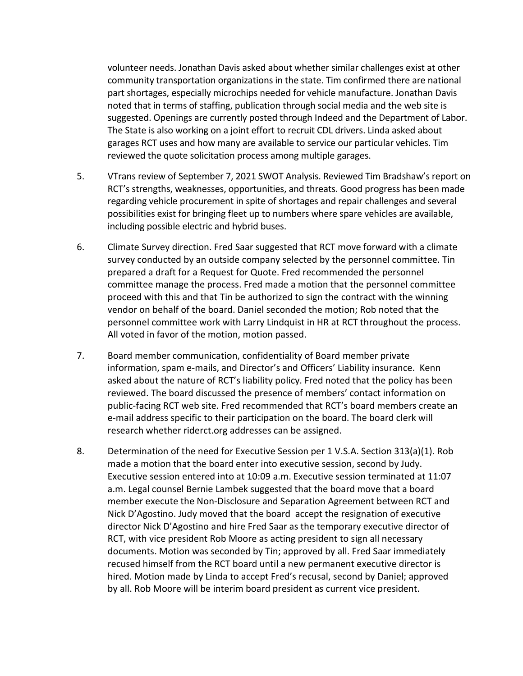volunteer needs. Jonathan Davis asked about whether similar challenges exist at other community transportation organizations in the state. Tim confirmed there are national part shortages, especially microchips needed for vehicle manufacture. Jonathan Davis noted that in terms of staffing, publication through social media and the web site is suggested. Openings are currently posted through Indeed and the Department of Labor. The State is also working on a joint effort to recruit CDL drivers. Linda asked about garages RCT uses and how many are available to service our particular vehicles. Tim reviewed the quote solicitation process among multiple garages.

- 5. VTrans review of September 7, 2021 SWOT Analysis. Reviewed Tim Bradshaw's report on RCT's strengths, weaknesses, opportunities, and threats. Good progress has been made regarding vehicle procurement in spite of shortages and repair challenges and several possibilities exist for bringing fleet up to numbers where spare vehicles are available, including possible electric and hybrid buses.
- 6. Climate Survey direction. Fred Saar suggested that RCT move forward with a climate survey conducted by an outside company selected by the personnel committee. Tin prepared a draft for a Request for Quote. Fred recommended the personnel committee manage the process. Fred made a motion that the personnel committee proceed with this and that Tin be authorized to sign the contract with the winning vendor on behalf of the board. Daniel seconded the motion; Rob noted that the personnel committee work with Larry Lindquist in HR at RCT throughout the process. All voted in favor of the motion, motion passed.
- 7. Board member communication, confidentiality of Board member private information, spam e-mails, and Director's and Officers' Liability insurance. Kenn asked about the nature of RCT's liability policy. Fred noted that the policy has been reviewed. The board discussed the presence of members' contact information on public-facing RCT web site. Fred recommended that RCT's board members create an e-mail address specific to their participation on the board. The board clerk will research whether riderct.org addresses can be assigned.
- 8. Determination of the need for Executive Session per 1 V.S.A. Section 313(a)(1). Rob made a motion that the board enter into executive session, second by Judy. Executive session entered into at 10:09 a.m. Executive session terminated at 11:07 a.m. Legal counsel Bernie Lambek suggested that the board move that a board member execute the Non-Disclosure and Separation Agreement between RCT and Nick D'Agostino. Judy moved that the board accept the resignation of executive director Nick D'Agostino and hire Fred Saar as the temporary executive director of RCT, with vice president Rob Moore as acting president to sign all necessary documents. Motion was seconded by Tin; approved by all. Fred Saar immediately recused himself from the RCT board until a new permanent executive director is hired. Motion made by Linda to accept Fred's recusal, second by Daniel; approved by all. Rob Moore will be interim board president as current vice president.